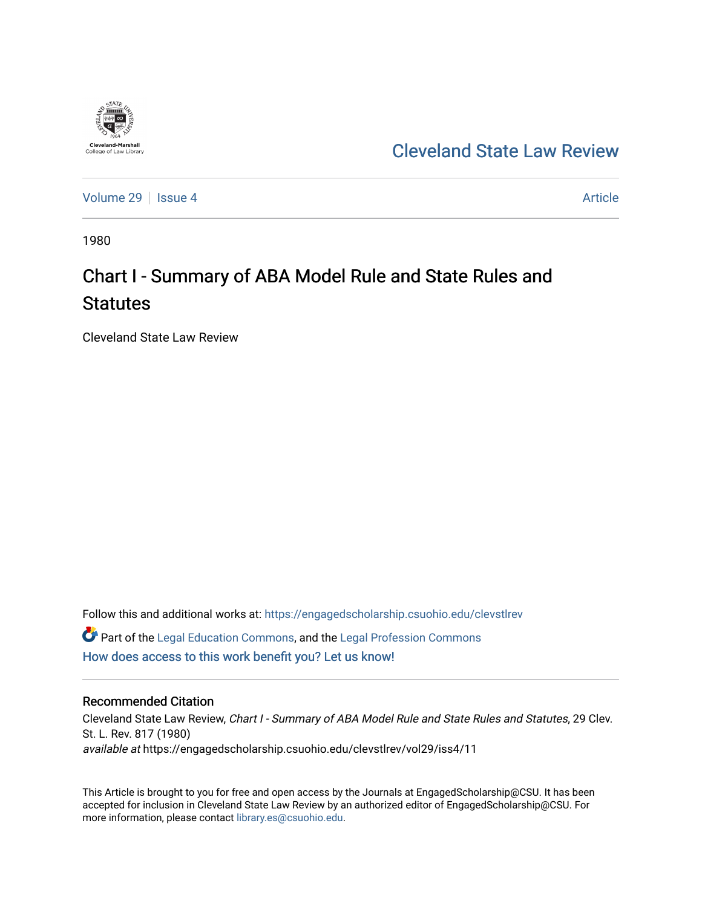

[Cleveland State Law Review](https://engagedscholarship.csuohio.edu/clevstlrev) 

[Volume 29](https://engagedscholarship.csuohio.edu/clevstlrev/vol29) | [Issue 4](https://engagedscholarship.csuohio.edu/clevstlrev/vol29/iss4) Article

1980

# Chart I - Summary of ABA Model Rule and State Rules and **Statutes**

Cleveland State Law Review

Follow this and additional works at: [https://engagedscholarship.csuohio.edu/clevstlrev](https://engagedscholarship.csuohio.edu/clevstlrev?utm_source=engagedscholarship.csuohio.edu%2Fclevstlrev%2Fvol29%2Fiss4%2F11&utm_medium=PDF&utm_campaign=PDFCoverPages) Part of the [Legal Education Commons,](http://network.bepress.com/hgg/discipline/857?utm_source=engagedscholarship.csuohio.edu%2Fclevstlrev%2Fvol29%2Fiss4%2F11&utm_medium=PDF&utm_campaign=PDFCoverPages) and the [Legal Profession Commons](http://network.bepress.com/hgg/discipline/1075?utm_source=engagedscholarship.csuohio.edu%2Fclevstlrev%2Fvol29%2Fiss4%2F11&utm_medium=PDF&utm_campaign=PDFCoverPages)  [How does access to this work benefit you? Let us know!](http://library.csuohio.edu/engaged/)

### Recommended Citation

Cleveland State Law Review, Chart I - Summary of ABA Model Rule and State Rules and Statutes, 29 Clev. St. L. Rev. 817 (1980) available at https://engagedscholarship.csuohio.edu/clevstlrev/vol29/iss4/11

This Article is brought to you for free and open access by the Journals at EngagedScholarship@CSU. It has been accepted for inclusion in Cleveland State Law Review by an authorized editor of EngagedScholarship@CSU. For more information, please contact [library.es@csuohio.edu](mailto:library.es@csuohio.edu).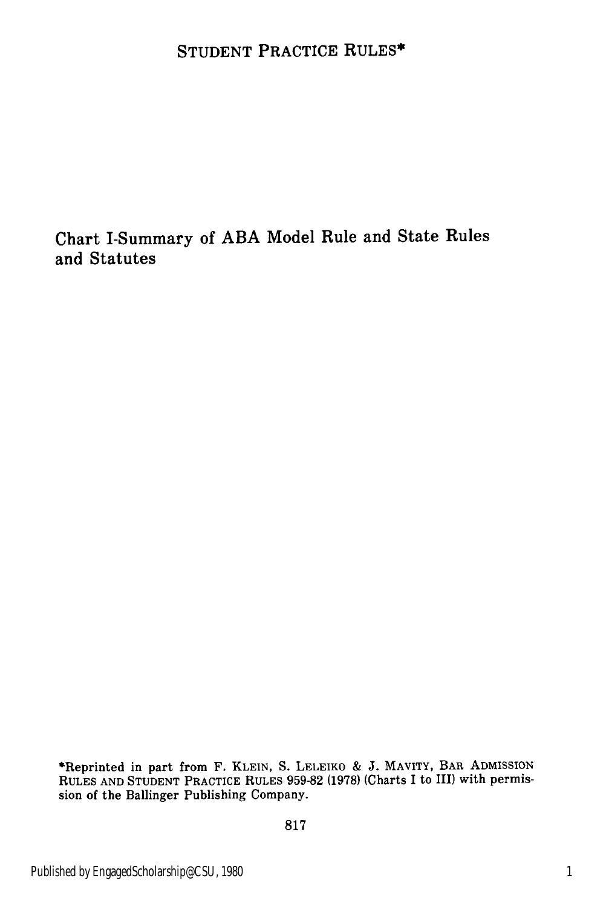## **STUDENT** PRACTICE **RULES\***

# Chart I-Summary of **ABA** Model Rule and State Rules and Statutes

\*Reprinted in part from F. KLEIN, S. LELEIKO & J. MAVITY, BAR ADMISSION RULES AND STUDENT PRACTICE RULES 959-82 (1978) (Charts I to III) with permission of the Ballinger Publishing Company.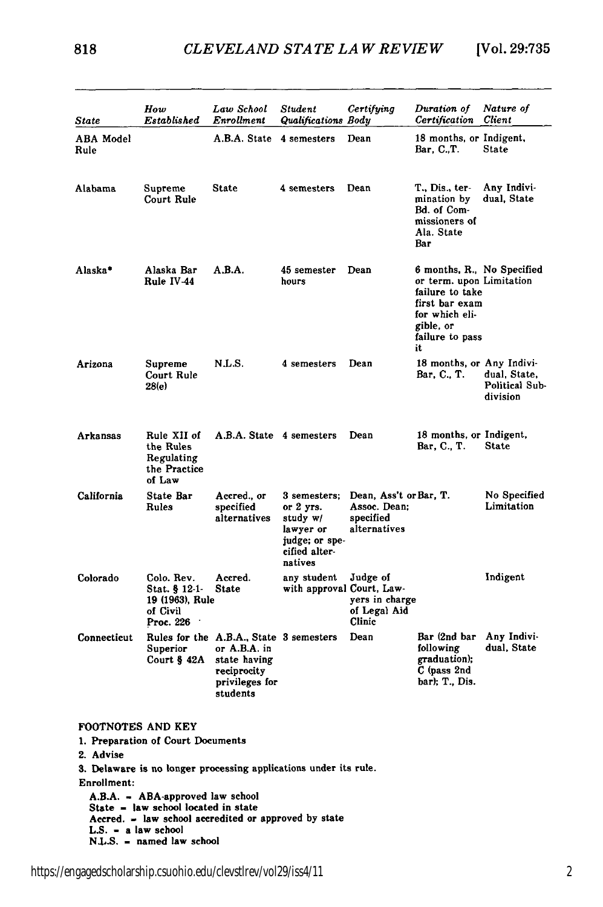| State                    | How<br>Established                                                                                                              | Law School<br>Enrollment                                                                                             | Student<br>Qualifications Body                                                                       | Certifying                                                          | Duration of<br>Certification                                                                                                                        | Nature of<br>Client                        |
|--------------------------|---------------------------------------------------------------------------------------------------------------------------------|----------------------------------------------------------------------------------------------------------------------|------------------------------------------------------------------------------------------------------|---------------------------------------------------------------------|-----------------------------------------------------------------------------------------------------------------------------------------------------|--------------------------------------------|
| <b>ABA</b> Model<br>Rule |                                                                                                                                 | A.B.A. State                                                                                                         | 4 semesters                                                                                          | Dean                                                                | 18 months, or Indigent,<br>Bar, C.,T.                                                                                                               | <b>State</b>                               |
| Alabama                  | Supreme<br>Court Rule                                                                                                           | State                                                                                                                | 4 semesters                                                                                          | Dean                                                                | T., Dis., ter-<br>mination by<br>Bd. of Com-<br>missioners of<br>Ala. State<br>Bar                                                                  | Any Indivi-<br>dual, State                 |
| Alaska*                  | Alaska Bar<br>Rule IV-44                                                                                                        | A.B.A.                                                                                                               | 45 semester<br>hours                                                                                 | Dean                                                                | 6 months, R., No Specified<br>or term. upon Limitation<br>failure to take<br>first bar exam<br>for which eli-<br>gible, or<br>failure to pass<br>it |                                            |
| Arizona                  | Supreme<br>Court Rule<br>28(e)                                                                                                  | N.L.S.                                                                                                               | 4 semesters                                                                                          | Dean                                                                | 18 months, or Any Indivi-<br>Bar, C., T.                                                                                                            | dual, State,<br>Political Sub-<br>division |
| Arkansas                 | Rule XII of<br>the Rules<br>Regulating<br>the Practice<br>of Law                                                                | A.B.A. State 4 semesters                                                                                             |                                                                                                      | Dean                                                                | 18 months, or Indigent,<br>Bar, C., T.                                                                                                              | <b>State</b>                               |
| California               | <b>State Bar</b><br>Rules                                                                                                       | Accred., or<br>specified<br>alternatives                                                                             | 3 semesters;<br>or $2$ yrs.<br>study $w/$<br>lawyer or<br>judge; or spe-<br>cified alter-<br>natives | Dean, Ass't or Bar, T.<br>Assoc. Dean;<br>specified<br>alternatives |                                                                                                                                                     | No Specified<br>Limitation                 |
| Colorado                 | Colo. Rev.<br>Stat. § 12-1-<br>19 (1963), Rule<br>of Civil<br>Proc. 226                                                         | Accred.<br>State                                                                                                     | any student<br>with approval Court, Law-                                                             | Judge of<br>yers in charge<br>of Legal Aid<br>Clinic                |                                                                                                                                                     | Indigent                                   |
| Connecticut              | Superior<br>Court § 42A                                                                                                         | Rules for the A.B.A., State 3 semesters<br>or A.B.A. in<br>state having<br>reciprocity<br>privileges for<br>students |                                                                                                      | Dean                                                                | Bar (2nd bar<br>following<br>graduation);<br>C (pass 2nd<br>bar); T., Dis.                                                                          | Any Indivi-<br>dual, State                 |
| FOOTNOTES AND KEY        |                                                                                                                                 |                                                                                                                      |                                                                                                      |                                                                     |                                                                                                                                                     |                                            |
|                          | 1. Preparation of Court Documents                                                                                               |                                                                                                                      |                                                                                                      |                                                                     |                                                                                                                                                     |                                            |
| 2. Advise                | 3. Delaware is no longer processing applications under its rule.                                                                |                                                                                                                      |                                                                                                      |                                                                     |                                                                                                                                                     |                                            |
| Enrollment:              |                                                                                                                                 |                                                                                                                      |                                                                                                      |                                                                     |                                                                                                                                                     |                                            |
|                          | A.B.A. = ABA-approved law school<br>State = law school located in state<br>Accred. = law school accredited or approved by state |                                                                                                                      |                                                                                                      |                                                                     |                                                                                                                                                     |                                            |

- 
- **L.S. -** a law school **N.L.S. -** named law school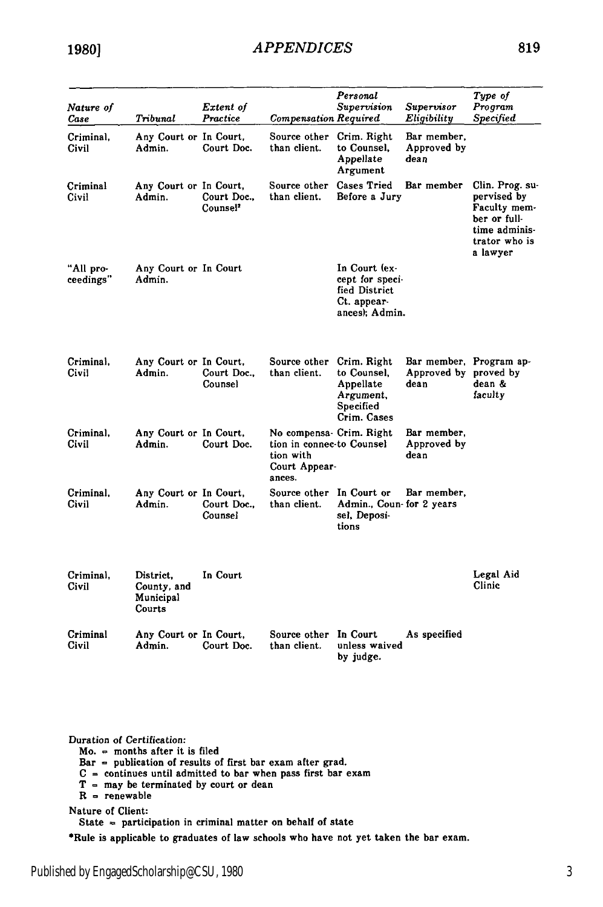| Nature of<br>Case      | Tribunal                                        | Extent of<br>Practice               | Compensation Required                                                                         | Personal<br>Supervision                                                            | Supervisor<br>Eligibility                                | Type of<br>Program<br><b>Specified</b>                                                                       |
|------------------------|-------------------------------------------------|-------------------------------------|-----------------------------------------------------------------------------------------------|------------------------------------------------------------------------------------|----------------------------------------------------------|--------------------------------------------------------------------------------------------------------------|
| Criminal.<br>Civil     | Any Court or In Court,<br>Admin.                | Court Doc.                          | Source other<br>than client.                                                                  | Crim. Right<br>to Counsel.<br>Appellate<br>Argument                                | Bar member,<br>Approved by<br>dean                       |                                                                                                              |
| Criminal<br>Civil      | Any Court or In Court,<br>Admin.                | Court Doc.,<br>Counsel <sup>2</sup> | Source other<br>than client.                                                                  | <b>Cases Tried</b><br>Before a Jury                                                | Bar member                                               | Clin. Prog. su-<br>pervised by<br>Faculty mem-<br>ber or full-<br>time adminis-<br>trator who is<br>a lawyer |
| "All pro-<br>ceedings" | Any Court or In Court<br>Admin.                 |                                     |                                                                                               | In Court (ex-<br>cept for speci-<br>fied District<br>Ct. appear-<br>ances); Admin. |                                                          |                                                                                                              |
| Criminal.<br>Civil     | Any Court or In Court,<br>Admin.                | Court Doc.,<br>Counsel              | Source other<br>than client.                                                                  | Crim. Right<br>to Counsel,<br>Appellate<br>Argument,<br>Specified<br>Crim. Cases   | Bar member, Program ap-<br>Approved by proved by<br>dean | dean &<br>faculty                                                                                            |
| Criminal,<br>Civil     | Any Court or In Court,<br>Admin.                | Court Doc.                          | No compensa- Crim. Right<br>tion in connec-to Counsel<br>tion with<br>Court Appear-<br>ances. |                                                                                    | Bar member,<br>Approved by<br>dean                       |                                                                                                              |
| Criminal.<br>Civil     | Any Court or In Court,<br>Admin.                | Court Doc.,<br>Counsel              | Source other In Court or<br>than client.                                                      | Admin., Coun-for 2 years<br>sel, Deposi-<br>tions                                  | Bar member.                                              |                                                                                                              |
| Criminal.<br>Civil     | District.<br>County, and<br>Municipal<br>Courts | In Court                            |                                                                                               |                                                                                    |                                                          | Legal Aid<br>Clinic                                                                                          |
| Criminal<br>Civil      | Any Court or In Court.<br>Admin.                | Court Doc.                          | Source other In Court<br>than client.                                                         | unless waived<br>by judge.                                                         | As specified                                             |                                                                                                              |

Duration of Certification:

Mo. **=** months after it is filed

Bar **=** publication of results of first bar exam after grad.

 $C =$  continues until admitted to bar when pass first bar exam<br> $T =$  may be terminated by court or dean

 $R =$  renewable

Nature of Client:

State **-** participation in criminal matter on behalf of state

\*Rule is applicable to graduates of law schools who have not yet taken the bar exam.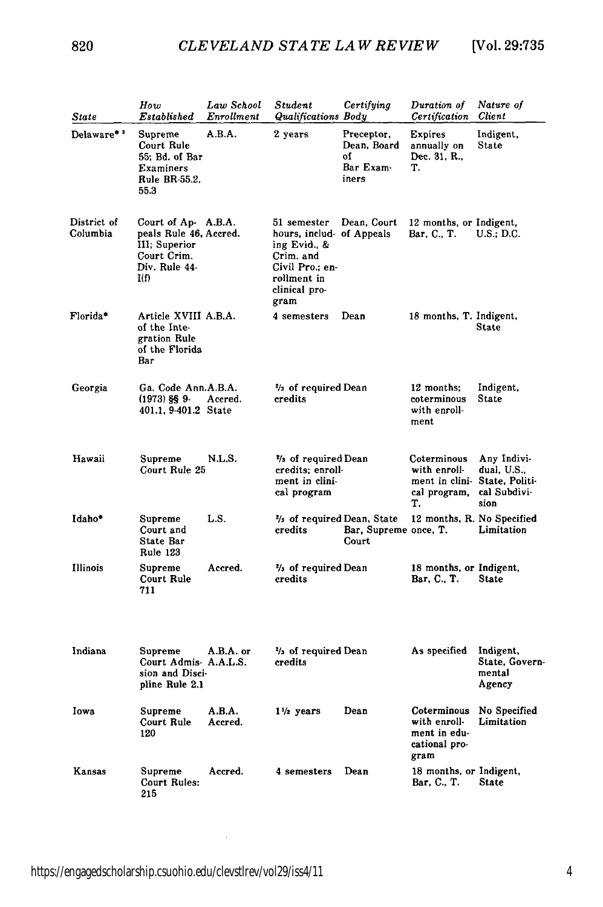820

| State                   | How<br>Established                                                                                     | Law School<br>Enrollment | Student<br><b>Qualifications Body</b>                                                                                            | Certifying                                            | Duration of<br>Certification                                         | Nature of<br>Client                                                  |
|-------------------------|--------------------------------------------------------------------------------------------------------|--------------------------|----------------------------------------------------------------------------------------------------------------------------------|-------------------------------------------------------|----------------------------------------------------------------------|----------------------------------------------------------------------|
| Delaware**              | Supreme<br>Court Rule<br>55; Bd. of Bar<br><b>Examiners</b><br>Rule BR-55.2,<br>55.3                   | A.B.A.                   | 2 years                                                                                                                          | Preceptor,<br>Dean, Board<br>٥f<br>Bar Exam-<br>iners | <b>Expires</b><br>annually on<br>Dec. 31, R.,<br>Т.                  | Indigent,<br><b>State</b>                                            |
| District of<br>Columbia | Court of Ap- A.B.A.<br>peals Rule 46, Accred.<br>III; Superior<br>Court Crim.<br>Div. Rule 44-<br>I(f) |                          | 51 semester<br>hours, includ- of Appeals<br>ing Evid., &<br>Crim. and<br>Civil Pro.; en-<br>rollment in<br>clinical pro-<br>gram | Dean, Court                                           | 12 months, or Indigent,<br>Bar, C., T.                               | U.S.; D.C.                                                           |
| Florida*                | Article XVIII A.B.A.<br>of the Inte-<br>gration Rule<br>of the Florida<br>Bar                          |                          | 4 semesters                                                                                                                      | Dean                                                  | 18 months, T. Indigent,                                              | State                                                                |
| Georgia                 | Ga. Code Ann.A.B.A.<br>$(1973)$ §§ 9-<br>401.1, 9-401.2 State                                          | Accred.                  | % of required Dean<br>credits                                                                                                    |                                                       | 12 months;<br>coterminous<br>with enroll-<br>ment                    | Indigent,<br><b>State</b>                                            |
| Hawaii                  | Supreme<br>Court Rule 25                                                                               | N.L.S.                   | $\frac{2}{3}$ of required Dean<br>credits; enroll-<br>ment in clini-<br>cal program                                              |                                                       | Coterminous<br>with enroll-<br>ment in clini-<br>cal program,<br>Т.  | Any Indivi-<br>dual, U.S.,<br>State, Politi-<br>cal Subdivi-<br>sion |
| Idaho*                  | Supreme<br>Court and<br><b>State Bar</b><br><b>Rule 123</b>                                            | L.S.                     | % of required Dean, State<br>credits                                                                                             | Bar, Supreme once, T.<br>Court                        | 12 months, R. No Specified                                           | Limitation                                                           |
| Illinois                | Supreme<br>Court Rule<br>711                                                                           | Accred.                  | 3/3 of required Dean<br>credits                                                                                                  |                                                       | 18 months, or Indigent,<br>Bar, C., T.                               | <b>State</b>                                                         |
| Indiana                 | Supreme<br>Court Admis A.A.L.S.<br>sion and Disci-<br>pline Rule 2.1                                   | A.B.A. or                | % of required Dean<br>credits                                                                                                    |                                                       | As specified                                                         | Indigent,<br>State, Govern<br>mental<br>Agency                       |
| Iowa                    | Supreme<br>Court Rule<br>120                                                                           | A.B.A.<br>Accred.        | $1\frac{1}{2}$ years                                                                                                             | Dean                                                  | Coterminous<br>with enroll-<br>ment in edu-<br>cational pro-<br>gram | No Specified<br>Limitation                                           |
| Kansas                  | Supreme<br>Court Rules:<br>215                                                                         | Accred.                  | 4 semesters                                                                                                                      | Dean                                                  | 18 months, or Indigent,<br>Bar, C., T.                               | <b>State</b>                                                         |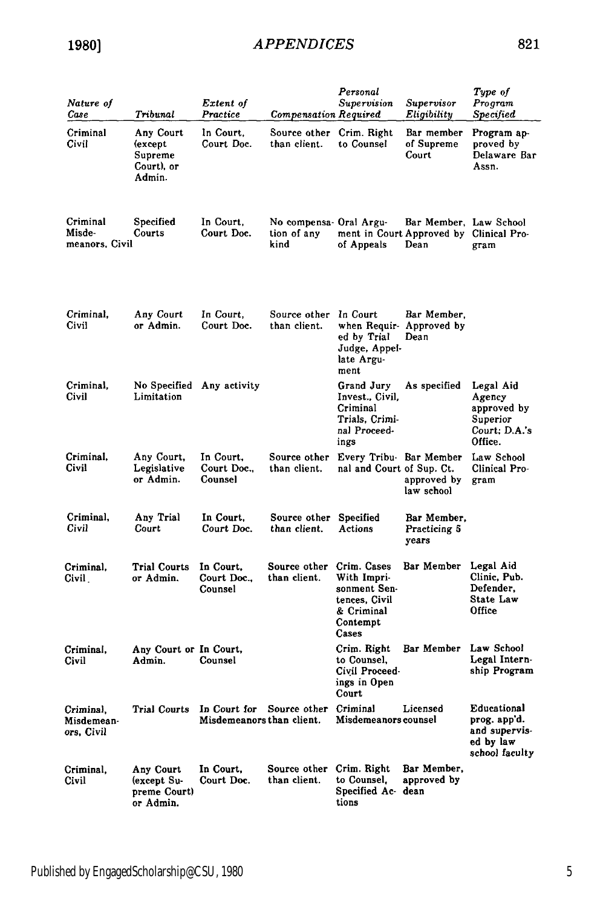| Nature of<br>Case                     | Tribunal                                                | Extent of<br>Practice                     | <b>Compensation Required</b>                  | Personal<br>Supervision                                                                        | Supervisor<br>Eligibility                                                 | Type of<br>Program<br><b>Specified</b>                                      |
|---------------------------------------|---------------------------------------------------------|-------------------------------------------|-----------------------------------------------|------------------------------------------------------------------------------------------------|---------------------------------------------------------------------------|-----------------------------------------------------------------------------|
| Criminal<br>Civil                     | Any Court<br>(except<br>Supreme<br>Court), or<br>Admin. | In Court.<br>Court Doc.                   | Source other Crim. Right<br>than client.      | to Counsel                                                                                     | Bar member<br>of Supreme<br>Court                                         | Program ap-<br>proved by<br>Delaware Bar<br>Assn.                           |
| Criminal<br>Misde-<br>meanors, Civil  | Specified<br>Courts                                     | In Court,<br>Court Doc.                   | No compensa Oral Argu-<br>tion of any<br>kind | of Appeals                                                                                     | Bar Member, Law School<br>ment in Court Approved by Clinical Pro-<br>Dean | gram                                                                        |
| Criminal,<br>Civil                    | Any Court<br>or Admin.                                  | In Court,<br>Court Doc.                   | Source other<br>than client.                  | In Court<br>when Requir- Approved by<br>ed by Trial<br>Judge, Appel-<br>late Argu-<br>ment     | Bar Member,<br>Dean                                                       |                                                                             |
| Criminal,<br>Civil                    | No Specified Any activity<br>Limitation                 |                                           |                                               | Grand Jury<br>Invest., Civil.<br>Criminal<br>Trials. Crimi<br>nal Proceed-<br>ings             | As specified                                                              | Legal Aid<br>Agency<br>approved by<br>Superior<br>Court; D.A.'s<br>Office.  |
| Criminal,<br>Civil                    | Any Court,<br>Legislative<br>or Admin.                  | In Court.<br>Court Doc.,<br>Counsel       | Source other<br>than client.                  | Every Tribu- Bar Member<br>nal and Court of Sup. Ct.                                           | approved by<br>law school                                                 | Law School<br>Clinical Pro-<br>gram                                         |
| Criminal.<br>Civil                    | Any Trial<br>Court                                      | In Court.<br>Court Doc.                   | Source other Specified<br>than client.        | Actions                                                                                        | Bar Member,<br>Practicing 5<br>years                                      |                                                                             |
| Criminal.<br>Civil                    | Trial Courts<br>or Admin.                               | In Court.<br>Court Doc<br>Counsel         | Source other<br>than client.                  | Crim. Cases<br>With Impri-<br>sonment Sen-<br>tences, Civil<br>& Criminal<br>Contempt<br>Cases | Bar Member                                                                | Legal Aid<br>Clinic, Pub.<br>Defender.<br><b>State Law</b><br>Office        |
| Criminal,<br>Civil                    | Any Court or In Court,<br>Admin.                        | Counsel                                   |                                               | Crim. Right<br>to Counsel,<br>Civil Proceed-<br>ings in Open<br>Court                          | Bar Member                                                                | Law School<br>Legal Intern-<br>ship Program                                 |
| Criminal.<br>Misdemean-<br>ors, Civil | Trial Courts                                            | In Court for<br>Misdemeanors than client. | Source other                                  | Criminal<br>Misdemeanors counsel                                                               | Licensed                                                                  | Educational<br>prog. app'd.<br>and supervis-<br>ed by law<br>school faculty |
| Criminal,<br>Civil                    | Any Court<br>(except Su-<br>preme Court)<br>or Admin.   | In Court,<br>Court Doc.                   | Source other<br>than client.                  | Crim. Right<br>to Counsel.<br>Specified Ac dean<br>tions                                       | Bar Member,<br>approved by                                                |                                                                             |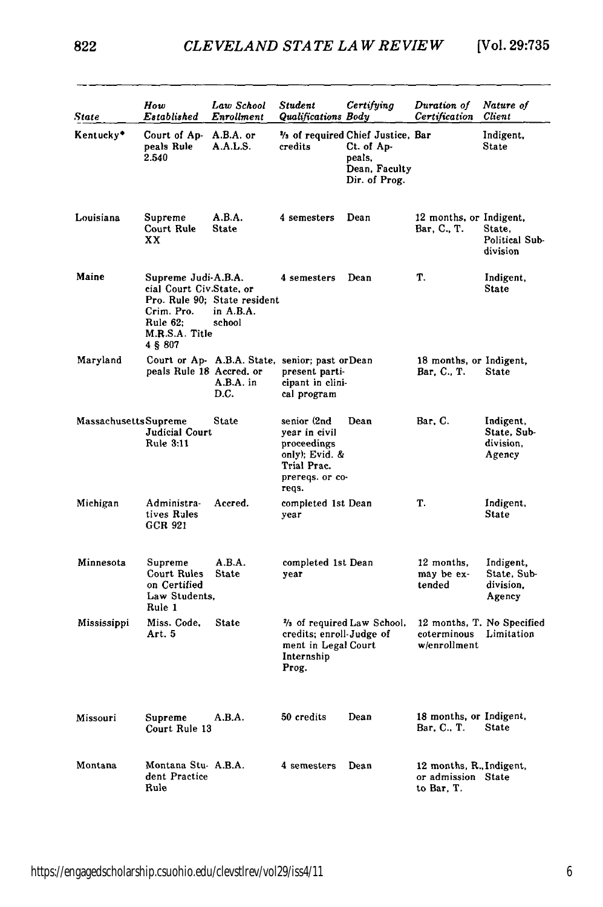| State                        | How<br>Established                                                                                      | Law School<br>Enrollment                                             | Student<br>Qualifications Body                                                                           | Certifying                                                                                   | Duration of<br>Certification                                 | Nature of<br><b>Client</b>                      |
|------------------------------|---------------------------------------------------------------------------------------------------------|----------------------------------------------------------------------|----------------------------------------------------------------------------------------------------------|----------------------------------------------------------------------------------------------|--------------------------------------------------------------|-------------------------------------------------|
| Kentucky*                    | Court of Ap- A.B.A. or<br>peals Rule<br>2.540                                                           | A.A.L.S.                                                             | credits                                                                                                  | 1/3 of required Chief Justice, Bar<br>Ct. of Ap-<br>peals,<br>Dean, Faculty<br>Dir. of Prog. |                                                              | Indigent,<br><b>State</b>                       |
| Louisiana                    | Supreme<br>Court Rule<br>xх                                                                             | A.B.A.<br><b>State</b>                                               | 4 semesters                                                                                              | Dean                                                                                         | 12 months, or Indigent,<br>Bar, C., T.                       | State.<br>Political Sub-<br>division            |
| Maine                        | Supreme Judi-A.B.A.<br>cial Court Civ.State.or<br>Crim. Pro.<br>Rule $62:$<br>M.R.S.A. Title<br>4 § 807 | Pro. Rule 90; State resident<br>in A.B.A.<br>school                  | 4 semesters                                                                                              | Dean                                                                                         | Т.                                                           | Indigent,<br><b>State</b>                       |
| Maryland                     | peals Rule 18 Accred. or                                                                                | Court or Ap- A.B.A. State, senior; past or Dean<br>A.B.A. in<br>D.C. | present parti-<br>cipant in clini-<br>cal program                                                        |                                                                                              | 18 months, or Indigent,<br>Bar, C., T.                       | <b>State</b>                                    |
| <b>Massachusetts Supreme</b> | Judicial Court<br>Rule 3:11                                                                             | <b>State</b>                                                         | senior (2nd<br>vear in civil<br>proceedings<br>only); Evid. &<br>Trial Prac.<br>prereqs. or co-<br>reqs. | Dean                                                                                         | Bar, C.                                                      | Indigent,<br>State, Sub-<br>division.<br>Agency |
| Michigan                     | Administra-<br>tives Rules<br>GCR 921                                                                   | Accred.                                                              | completed 1st Dean<br>year                                                                               |                                                                                              | Т.                                                           | Indigent,<br>State                              |
| Minnesota                    | Supreme<br>Court Rules<br>on Certified<br>Law Students,<br>Rule 1                                       | A.B.A.<br>State                                                      | completed 1st Dean<br>year                                                                               |                                                                                              | 12 months,<br>may be ex-<br>tended                           | Indigent,<br>State. Sub-<br>division.<br>Agency |
| Mississippi                  | Miss. Code.<br>Art. 5                                                                                   | <b>State</b>                                                         | credits; enroll-Judge of<br>ment in Legal Court<br>Internship<br>Prog.                                   | % of required Law School,                                                                    | coterminous Limitation<br>w/enrollment                       | 12 months. T. No Specified                      |
| Missouri                     | Supreme<br>Court Rule 13                                                                                | A.B.A.                                                               | 50 credits                                                                                               | Dean                                                                                         | 18 months, or Indigent,<br>Bar, C., T.                       | <b>State</b>                                    |
| Montana                      | Montana Stu-A.B.A.<br>dent Practice<br>Rule                                                             |                                                                      | 4 semesters                                                                                              | Dean                                                                                         | 12 months, R., Indigent,<br>or admission State<br>to Bar. T. |                                                 |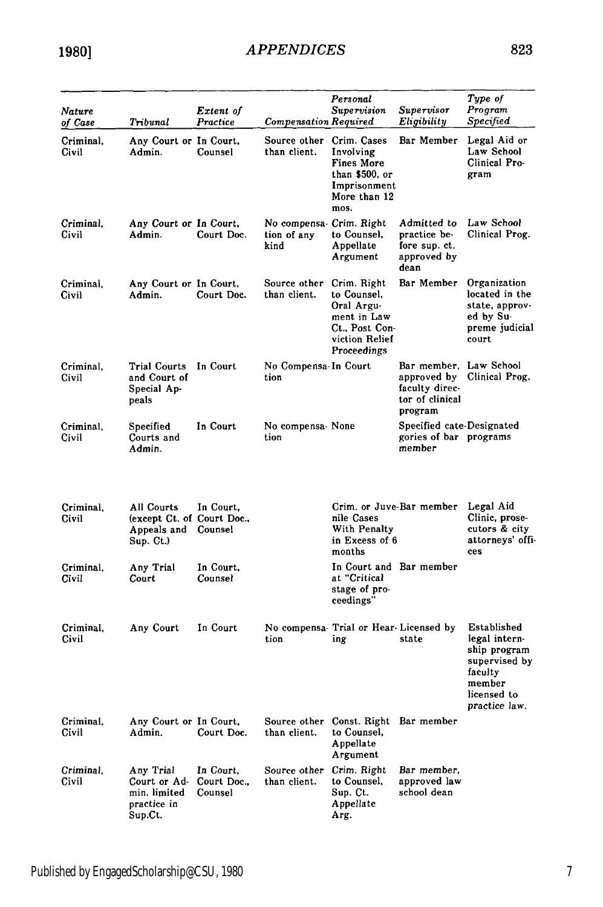| Nature<br>of Case  | Tribunal                                                             | Extent of<br>Practice               | <b>Compensation Required</b>                   | Personal<br>Supervision                                                                                    | Supervisor<br>Eligibility                                                             | Type of<br>Program<br>Specified                                                                                    |
|--------------------|----------------------------------------------------------------------|-------------------------------------|------------------------------------------------|------------------------------------------------------------------------------------------------------------|---------------------------------------------------------------------------------------|--------------------------------------------------------------------------------------------------------------------|
| Criminal,<br>Civil | Any Court or In Court,<br>Admin.                                     | Counsel                             | Source other Crim. Cases<br>than client.       | Involving<br><b>Fines More</b><br>than \$500, or<br>Imprisonment<br>More than 12<br>mos.                   | Bar Member                                                                            | Legal Aid or<br>Law School<br>Clinical Pro-<br>gram                                                                |
| Criminal,<br>Civil | Any Court or In Court,<br>Admin.                                     | Court Doc.                          | No compensa Crim. Right<br>tion of any<br>kind | to Counsel.<br>Appellate<br>Argument                                                                       | Admitted to<br>practice be-<br>fore sup. ct.<br>approved by<br>dean                   | Law School<br>Clinical Prog.                                                                                       |
| Criminal,<br>Civil | Any Court or In Court,<br>Admin.                                     | Court Doc.                          | Source other<br>than client.                   | Crim. Right<br>to Counsel,<br>Oral Argu-<br>ment in Law<br>Ct., Post Con-<br>viction Relief<br>Proceedings | Bar Member                                                                            | Organization<br>located in the<br>state, approv-<br>ed by Su-<br>preme judicial<br>court                           |
| Criminal,<br>Civil | Trial Courts<br>and Court of<br>Special Ap-<br>peals                 | In Court                            | No Compensa-In Court<br>tion                   |                                                                                                            | Bar member, Law School<br>approved by<br>faculty direc-<br>tor of clinical<br>program | Clinical Prog.                                                                                                     |
| Criminal,<br>Civil | Specified<br>Courts and<br>Admin.                                    | In Court                            | No compensa-None<br>tion                       |                                                                                                            | Specified cate-Designated<br>gories of bar programs<br>member                         |                                                                                                                    |
| Criminal.<br>Civil | All Courts<br>(except Ct. of Court Doc.,<br>Appeals and<br>Sup. Ct.) | In Court,<br>Counsel                |                                                | Crim. or Juve-Bar member<br>nile Cases<br>With Penalty<br>in Excess of 6<br>months                         |                                                                                       | Legal Aid<br>Clinic, prose-<br>cutors & city<br>attorneys' offi-<br>ces                                            |
| Criminal,<br>Civil | Any Trial<br>Court                                                   | In Court,<br>Counsel                |                                                | In Court and Bar member<br>at "Critical<br>stage of pro-<br>ceedings"                                      |                                                                                       |                                                                                                                    |
| Criminal,<br>Civil | Any Court                                                            | In Court                            | tion                                           | No compensa Trial or Hear Licensed by<br>ing                                                               | state                                                                                 | Established<br>legal intern-<br>ship program<br>supervised by<br>faculty<br>member<br>licensed to<br>practice law. |
| Criminal,<br>Civil | Any Court or In Court,<br>Admin.                                     | Court Doc.                          | Source other<br>than client.                   | Const. Right Bar member<br>to Counsel,<br>Appellate<br>Argument                                            |                                                                                       |                                                                                                                    |
| Criminal,<br>Civil | Any Trial<br>Court or Ad-<br>min. limited<br>practice in<br>Sup.Ct.  | In Court.<br>Court Doc.,<br>Counsel | Source other<br>than client.                   | Crim. Right<br>to Counsel,<br>Sup. Ct.<br>Appellate<br>Arg.                                                | Bar member,<br>approved law<br>school dean                                            |                                                                                                                    |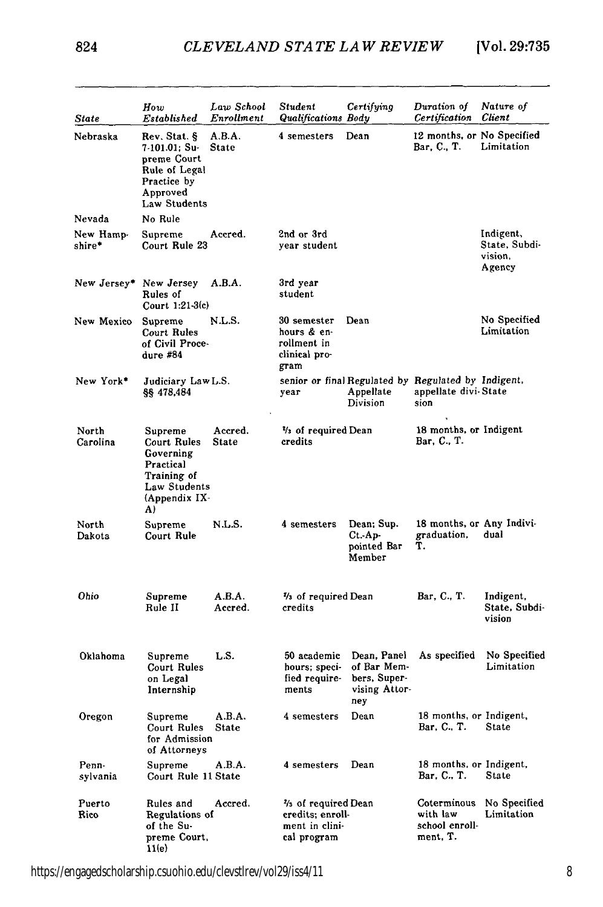| State               | How<br>Established                                                                                       | Law School<br>Enrollment | Student<br>Qualifications Body                                          | Certifying                                                         | Duration of<br>Certification                                                        | Nature of<br>Client                             |
|---------------------|----------------------------------------------------------------------------------------------------------|--------------------------|-------------------------------------------------------------------------|--------------------------------------------------------------------|-------------------------------------------------------------------------------------|-------------------------------------------------|
| Nebraska            | Rev. Stat. §<br>7-101.01; Su-<br>preme Court<br>Rule of Legal<br>Practice by<br>Approved<br>Law Students | A.B.A.<br><b>State</b>   | 4 semesters                                                             | Dean                                                               | 12 months, or No Specified<br>Bar, C., T.                                           | Limitation                                      |
| Nevada              | No Rule                                                                                                  |                          |                                                                         |                                                                    |                                                                                     |                                                 |
| New Hamp-<br>shire* | Supreme<br>Court Rule 23                                                                                 | Accred.                  | 2nd or 3rd<br>vear student                                              |                                                                    |                                                                                     | Indigent,<br>State, Subdi-<br>vision,<br>Agency |
|                     | New Jersey* New Jersey<br>Rules of<br>Court 1:21-3(c)                                                    | A.B.A.                   | 3rd year<br>student                                                     |                                                                    |                                                                                     |                                                 |
| New Mexico          | Supreme<br>Court Rules<br>of Civil Proce-<br>dure #84                                                    | N.L.S.                   | 30 semester<br>hours & en-<br>rollment in<br>clinical pro-<br>gram      | Dean                                                               |                                                                                     | No Specified<br>Limitation                      |
| New York*           | Judiciary Law L.S.<br>§§ 478,484                                                                         |                          | vear                                                                    | Appellate<br>Division                                              | senior or final Regulated by Regulated by Indigent,<br>appellate divi-State<br>sion |                                                 |
| North<br>Carolina   | Supreme<br>Court Rules<br>Governing<br>Practical<br>Training of<br>Law Students<br>(Appendix IX-<br>A)   | Accred.<br><b>State</b>  | % of required Dean<br>credits                                           |                                                                    | 18 months, or Indigent<br>Bar, C., T.                                               |                                                 |
| North<br>Dakota     | Supreme<br>Court Rule                                                                                    | N.L.S.                   | 4 semesters                                                             | Dean; Sup.<br>$Ct - Ap$<br>pointed Bar<br>Member                   | 18 months, or Any Indivi-<br>graduation,<br>т.                                      | dual                                            |
| Ohio                | Supreme<br>Rule II                                                                                       | A.B.A.<br>Accred.        | % of required Dean<br>credits                                           |                                                                    | Bar, C., T.                                                                         | Indigent,<br>State, Subdi-<br>vision            |
| Oklahoma            | Supreme<br>Court Rules<br>on Legal<br>Internship                                                         | LS.                      | 50 academic<br>hours; speci-<br>fied require-<br>ments                  | Dean, Panel<br>of Bar Mem-<br>bers, Super-<br>vising Attor-<br>ney | As specified                                                                        | No Specified<br>Limitation                      |
| Oregon              | Supreme<br>Court Rules<br>for Admission<br>of Attorneys                                                  | A.B.A.<br><b>State</b>   | 4 semesters                                                             | Dean                                                               | 18 months, or Indigent,<br>Bar, C., T.                                              | <b>State</b>                                    |
| Penn-<br>sylvania   | Supreme<br>Court Rule 11 State                                                                           | A.B.A.                   | 4 semesters                                                             | Dean                                                               | 18 months, or Indigent,<br>Bar, C., T.                                              | State                                           |
| Puerto<br>Rico      | Rules and<br>Regulations of<br>of the Su-<br>preme Court,<br>11(e)                                       | Accred.                  | % of required Dean<br>credits; enroll-<br>ment in clini-<br>cal program |                                                                    | Coterminous<br>with law<br>school enroll-<br>ment, T.                               | No Specified<br>Limitation                      |

https://engagedscholarship.csuohio.edu/clevstlrev/vol29/iss4/11 8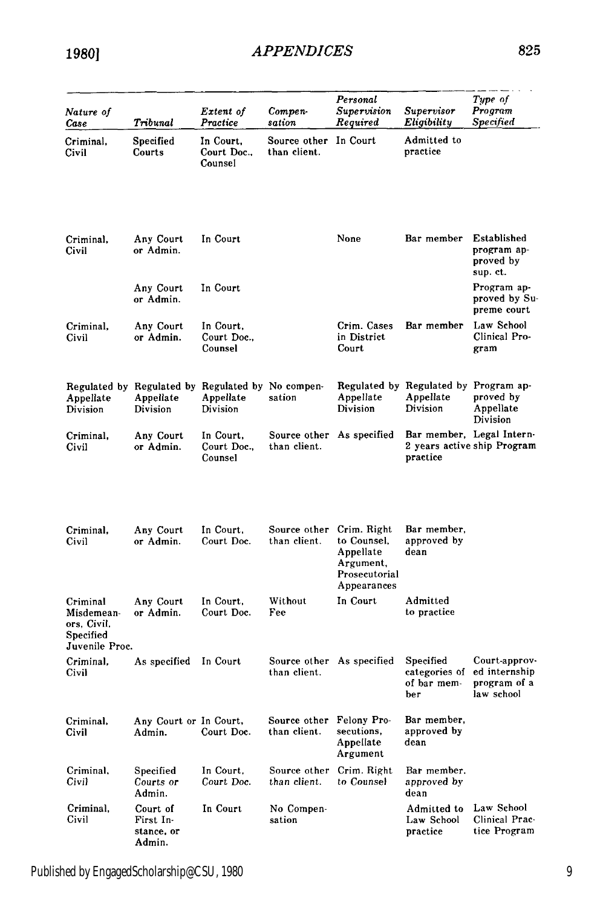**19801**

| Nature of<br>Case                                                    | Tribunal                                                                   | Extent of<br>Practice               | Compen-<br>sation                         | Personal<br>Supervision<br>Required                                                  | Supervisor<br>Eligibility                                      | Type of<br>Program<br><b>Specified</b>                       |
|----------------------------------------------------------------------|----------------------------------------------------------------------------|-------------------------------------|-------------------------------------------|--------------------------------------------------------------------------------------|----------------------------------------------------------------|--------------------------------------------------------------|
| Criminal,<br>Civil                                                   | Specified<br>Courts                                                        | In Court.<br>Court Doc.,<br>Counsel | Source other In Court<br>than client.     |                                                                                      | Admitted to<br>practice                                        |                                                              |
| Criminal,<br>Civil                                                   | Any Court<br>or Admin.                                                     | In Court                            |                                           | None                                                                                 | Bar member                                                     | Established<br>program ap-<br>proved by<br>sup. ct.          |
|                                                                      | Any Court<br>or Admin.                                                     | In Court                            |                                           |                                                                                      |                                                                | Program ap-<br>proved by Su-<br>preme court                  |
| Criminal,<br>Civil                                                   | Any Court<br>or Admin.                                                     | In Court,<br>Court Doc.,<br>Counsel |                                           | Crim. Cases<br>in District<br>Court                                                  | Bar member                                                     | Law School<br>Clinical Pro-<br>gram                          |
| Appellate<br>Division                                                | Regulated by Regulated by Regulated by No compen-<br>Appellate<br>Division | Appellate<br>Division               | sation                                    | Appellate<br>Division                                                                | Regulated by Regulated by Program ap-<br>Appellate<br>Division | proved by<br>Appellate<br>Division                           |
| Criminal,<br>Civil                                                   | Any Court<br>or Admin.                                                     | In Court,<br>Court Doc.,<br>Counsel | Source other As specified<br>than client. |                                                                                      | practice                                                       | Bar member, Legal Intern-<br>2 years active ship Program     |
| Criminal,<br>Civil                                                   | Any Court<br>or Admin.                                                     | In Court.<br>Court Doc.             | Source other<br>than client.              | Crim. Right<br>to Counsel,<br>Appellate<br>Argument,<br>Prosecutorial<br>Appearances | Bar member,<br>approved by<br>dean                             |                                                              |
| Criminal<br>Misdemean-<br>ors, Civil,<br>Specified<br>Juvenile Proc. | Any Court<br>or Admin.                                                     | In Court,<br>Court Doc.             | Without<br>Fee                            | In Court                                                                             | Admitted<br>to practice                                        |                                                              |
| Criminal,<br>Civil                                                   | As specified                                                               | In Court                            | than client.                              | Source other As specified                                                            | Specified<br>categories of<br>of bar mem-<br>ber               | Court-approv-<br>ed internship<br>program of a<br>law school |
| Criminal,<br>Civil                                                   | Any Court or In Court,<br>Admin.                                           | Court Doc.                          | Source other<br>than client.              | Felony Pro-<br>secutions,<br>Appellate<br>Argument                                   | Bar member,<br>approved by<br>dean                             |                                                              |
| Criminal,<br>Civil                                                   | Specified<br>Courts or<br>Admin.                                           | In Court,<br>Court Doc.             | Source other<br>than client.              | Crim. Right<br>to Counsel                                                            | Bar member.<br>approved by<br>dean                             |                                                              |
| Criminal,<br>Civil                                                   | Court of<br>First In-<br>stance, or<br>Admin.                              | In Court                            | No Compen-<br>sation                      |                                                                                      | Admitted to<br>Law School<br>practice                          | Law School<br>Clinical Prac-<br>tice Program                 |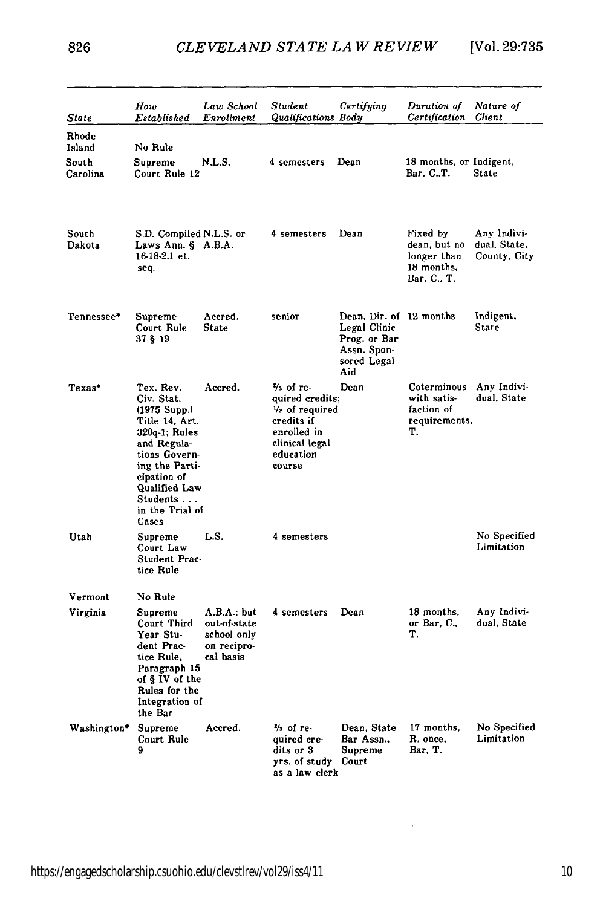| State                  | How<br>Established                                                                                                                                                                                             | Law School<br>Enrollment                                               | Student<br>Qualifications Body                                                                                                             | Certifying                                                                                   | Duration of<br>Certification                                         | Nature of<br><b>Client</b>                  |
|------------------------|----------------------------------------------------------------------------------------------------------------------------------------------------------------------------------------------------------------|------------------------------------------------------------------------|--------------------------------------------------------------------------------------------------------------------------------------------|----------------------------------------------------------------------------------------------|----------------------------------------------------------------------|---------------------------------------------|
| Rhode<br>Island        | No Rule                                                                                                                                                                                                        |                                                                        |                                                                                                                                            |                                                                                              |                                                                      |                                             |
| South<br>Carolina      | Supreme<br>Court Rule 12                                                                                                                                                                                       | N.L.S.                                                                 | 4 semesters                                                                                                                                | Dean                                                                                         | 18 months, or Indigent,<br>Bar, C.,T.                                | State                                       |
| South<br>Dakota        | S.D. Compiled N.L.S. or<br>Laws Ann. § A.B.A.<br>16-18-2.1 et.<br>seq.                                                                                                                                         |                                                                        | 4 semesters                                                                                                                                | Dean                                                                                         | Fixed by<br>dean, but no<br>longer than<br>18 months,<br>Bar, C., T. | Any Indivi-<br>dual, State,<br>County, City |
| $\mathtt{Tennessee}$ * | Supreme<br>Court Rule<br>37 § 19                                                                                                                                                                               | Accred.<br>State                                                       | senior                                                                                                                                     | Dean, Dir. of 12 months<br>Legal Clinic<br>Prog. or Bar<br>Assn. Spon-<br>sored Legal<br>Aid |                                                                      | Indigent,<br>State                          |
| Texas*                 | Tex. Rev.<br>Civ. Stat.<br>$(1975 \text{ Supp.})$<br>Title 14, Art.<br>320q-1; Rules<br>and Regula-<br>tions Govern-<br>ing the Parti-<br>cipation of<br>Qualified Law<br>Students<br>in the Trial of<br>Cases | Accred.                                                                | $\frac{2}{3}$ of re-<br>quired credits;<br>$\frac{1}{2}$ of required<br>credits if<br>enrolled in<br>clinical legal<br>education<br>course | Dean                                                                                         | Coterminous<br>with satis-<br>faction of<br>requirements,<br>Ί.      | Any Indivi-<br>dual, State                  |
| Utah                   | Supreme<br>Court Law<br>Student Prac-<br>tice Rule                                                                                                                                                             | L.S.                                                                   | 4 semesters                                                                                                                                |                                                                                              |                                                                      | No Specified<br>Limitation                  |
| Vermont                | No Rule                                                                                                                                                                                                        |                                                                        |                                                                                                                                            |                                                                                              |                                                                      |                                             |
| Virginia               | Supreme<br>Court Third<br>Year Stu-<br>dent Prac-<br>tice Rule,<br>Paragraph 15<br>of § IV of the<br>Rules for the<br>Integration of<br>the Bar                                                                | A.B.A.; but<br>out-of-state<br>school only<br>on recipro-<br>cal basis | 4 semesters                                                                                                                                | Dean                                                                                         | 18 months,<br>or $Bar, C.,$<br>т.                                    | Any Indivi-<br>dual. State                  |
| Washington*            | Supreme<br>Court Rule<br>9                                                                                                                                                                                     | Accred.                                                                | $\frac{1}{2}$ of re-<br>quired cre-<br>dits or 3<br>yrs. of study<br>as a law clerk                                                        | Dean, State<br>Bar Assn<br>Supreme<br>Court                                                  | 17 months.<br>R. once.<br>Bar, T.                                    | No Specified<br>Limitation                  |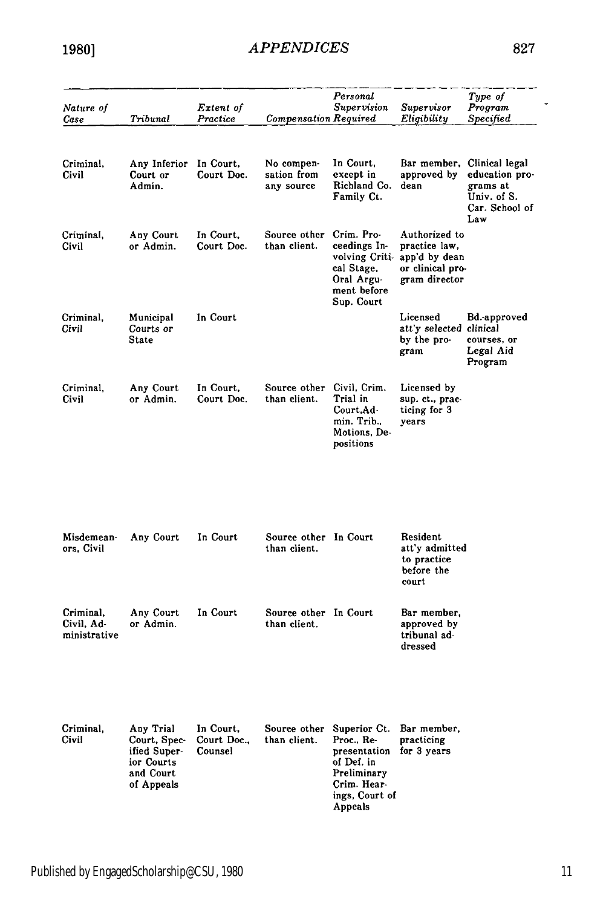| Nature of<br>Case                       | Tribunal                                                                           | Extent of<br>Practice               | <b>Compensation Required</b>            | Personal<br>Supervision                                                                                             | Supervisor<br>Eligibility                                                            | Type of<br>Program<br>Specified                                                      |
|-----------------------------------------|------------------------------------------------------------------------------------|-------------------------------------|-----------------------------------------|---------------------------------------------------------------------------------------------------------------------|--------------------------------------------------------------------------------------|--------------------------------------------------------------------------------------|
|                                         |                                                                                    |                                     |                                         |                                                                                                                     |                                                                                      |                                                                                      |
| Criminal,<br>Civil                      | Any Inferior<br>Court or<br>Admin.                                                 | In Court.<br>Court Doc.             | No compen-<br>sation from<br>any source | In Court,<br>except in<br>Richland Co.<br>Family Ct.                                                                | Bar member,<br>approved by<br>dean                                                   | Clinical legal<br>education pro-<br>grams at<br>Univ. of S.<br>Car. School of<br>Law |
| Criminal,<br>Civil                      | Any Court<br>or Admin.                                                             | In Court,<br>Court Doc.             | Source other<br>than client.            | Crim. Pro-<br>ceedings In-<br>volving Criti-<br>cal Stage,<br>Oral Argu-<br>ment before<br>Sup. Court               | Authorized to<br>practice law,<br>app'd by dean<br>or clinical pro-<br>gram director |                                                                                      |
| Criminal,<br>Civil                      | Municipal<br>Courts or<br>State                                                    | In Court                            |                                         |                                                                                                                     | Licensed<br>att'y selected clinical<br>by the pro-<br>gram                           | Bd.-approved<br>courses, or<br>Legal Aid<br>Program                                  |
| Criminal,<br>Civil                      | Any Court<br>or Admin.                                                             | In Court.<br>Court Doc.             | Source other<br>than client.            | Civil, Crim.<br>Trial in<br>Court, Ad-<br>min. Trib.,<br>Motions, De-<br>positions                                  | Licensed by<br>sup. ct., prac-<br>ticing for 3<br>years                              |                                                                                      |
| Misdemean-<br>ors, Civil                | Any Court                                                                          | In Court                            | Source other In Court<br>than client.   |                                                                                                                     | Resident<br>att'y admitted<br>to practice<br>before the<br>court                     |                                                                                      |
| Criminal.<br>Civil. Ad-<br>ministrative | Any Court<br>or Admin.                                                             | In Court                            | Source other In Court<br>than client.   |                                                                                                                     | Bar member,<br>approved by<br>tribunal ad-<br>dressed                                |                                                                                      |
| Criminal,<br>Civil                      | Any Trial<br>Court, Spec-<br>ified Super-<br>ior Courts<br>and Court<br>of Appeals | In Court.<br>Court Doc.,<br>Counsel | Source other<br>than client.            | Superior Ct.<br>Proc., Re-<br>presentation<br>of Def. in<br>Preliminary<br>Crim. Hear-<br>ings, Court of<br>Anneals | Bar member,<br>practicing<br>for 3 years                                             |                                                                                      |

 $\overline{\phantom{a}}$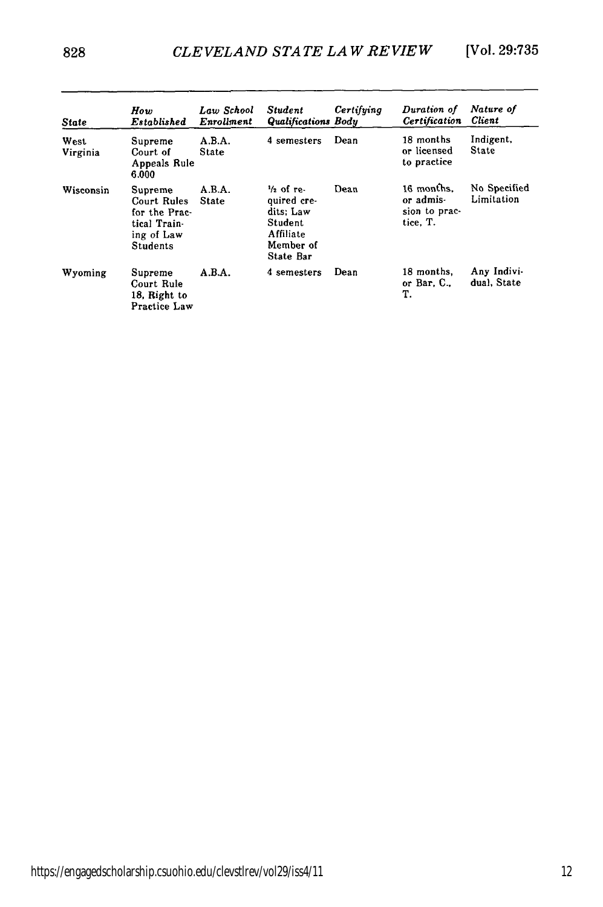| State            | How<br>Established                                                                       | Law School<br>Enrollment | <b>Student</b><br>Qualifications Body                                                              | Certifying | Duration of<br>Certification                         | Nature of<br>Client        |
|------------------|------------------------------------------------------------------------------------------|--------------------------|----------------------------------------------------------------------------------------------------|------------|------------------------------------------------------|----------------------------|
| West<br>Virginia | Supreme<br>Court of<br>Appeals Rule<br>6.000                                             | A.B.A.<br><b>State</b>   | 4 semesters                                                                                        | Dean       | 18 months<br>or licensed<br>to practice              | Indigent,<br>State         |
| Wisconsin        | Supreme<br>Court Rules<br>for the Prac-<br>tical Train-<br>ing of Law<br><b>Students</b> | A.B.A.<br>State          | $\frac{1}{2}$ of re-<br>quired cre-<br>dits: Law<br>Student<br>Affiliate<br>Member of<br>State Bar | Dean       | 16 months.<br>or admis-<br>sion to prac-<br>tice. T. | No Specified<br>Limitation |
| Wyoming          | Supreme<br>Court Rule<br>18. Right to<br>Practice Law                                    | A.B.A.                   | 4 semesters                                                                                        | Dean       | 18 months.<br>or Bar, $C_{\cdot}$ ,<br>т.            | Any Indivi-<br>dual. State |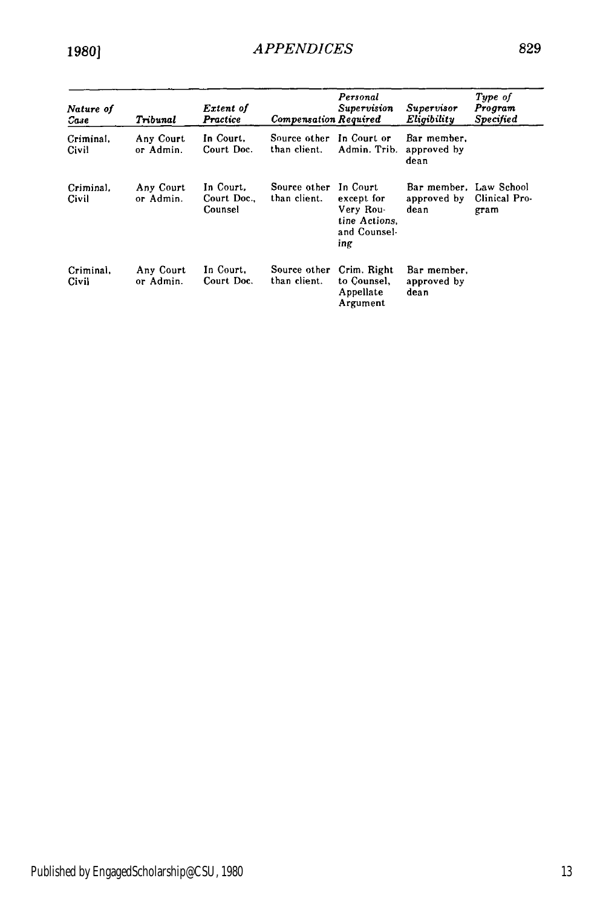| Nature of<br>Сазе  | Triounal               | Extent of<br>Practice               | <b>Compensation Required</b> | Personal<br><b>Supervision</b>                                              | Supervisor<br>Eligibility                     | Type of<br>Program<br>Specified |
|--------------------|------------------------|-------------------------------------|------------------------------|-----------------------------------------------------------------------------|-----------------------------------------------|---------------------------------|
| Criminal.<br>Civil | Any Court<br>or Admin. | In Court.<br>Court Doc.             | Source other<br>than client. | In Court or<br>Admin. Trib.                                                 | Bar member.<br>approved by<br>dean            |                                 |
| Criminal.<br>Civil | Any Court<br>or Admin. | In Court.<br>Court Doc.,<br>Counsel | Source other<br>than client. | In Court<br>except for<br>Very Rou-<br>tine Actions.<br>and Counsel-<br>ing | Bar member. Law School<br>approved by<br>dean | Clinical Pro-<br>gram           |
| Criminal.<br>Civil | Any Court<br>or Admin. | In Court.<br>Court Doc.             | Source other<br>than client. | Crim, Right<br>to Counsel.<br>Appellate<br>Argument                         | Bar member.<br>approved by<br>dean            |                                 |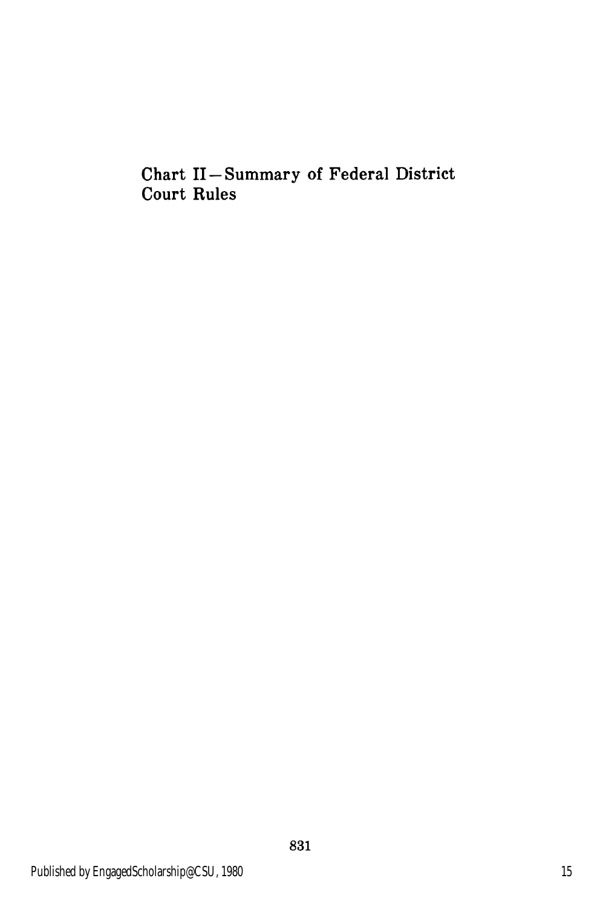Chart II **-** Summary of Federal District Court Rules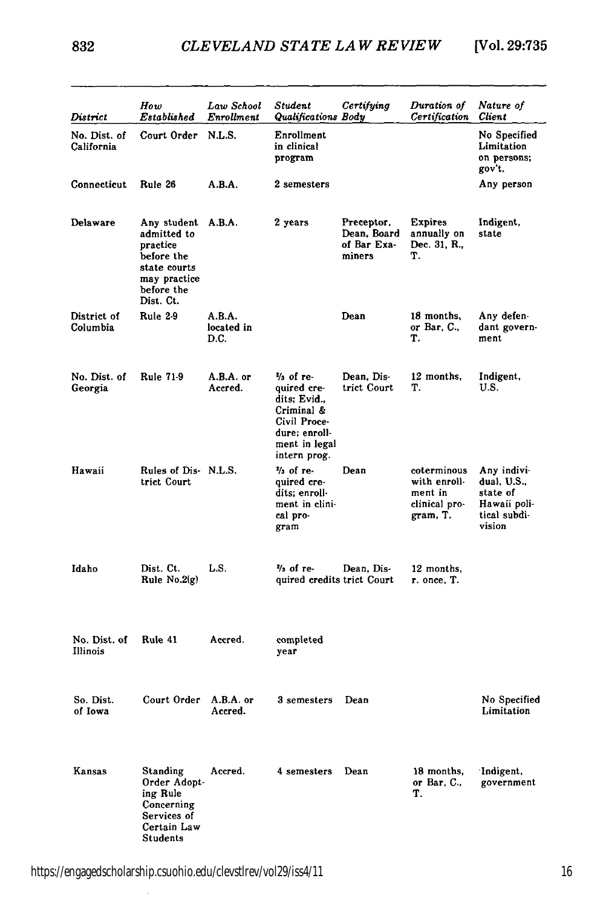832

| District                   | How<br>Established                                                                                              | Law School<br>Enrollment     | Student<br>Qualifications Body                                                                                          | Certifying                                         | Duration of<br>Certification                                        | Nature of<br><b>Client</b>                                                       |
|----------------------------|-----------------------------------------------------------------------------------------------------------------|------------------------------|-------------------------------------------------------------------------------------------------------------------------|----------------------------------------------------|---------------------------------------------------------------------|----------------------------------------------------------------------------------|
| No. Dist. of<br>California | Court Order                                                                                                     | N.L.S.                       | Enrollment<br>in clinical<br>program                                                                                    |                                                    |                                                                     | No Specified<br>Limitation<br>on persons;<br>gov't.                              |
| Connecticut                | Rule 26                                                                                                         | A.B.A.                       | 2 semesters                                                                                                             |                                                    |                                                                     | Any person                                                                       |
| Delaware                   | Any student<br>admitted to<br>practice<br>before the<br>state courts<br>may practice<br>before the<br>Dist. Ct. | A.B.A.                       | 2 years                                                                                                                 | Preceptor.<br>Dean, Board<br>of Bar Exa-<br>miners | <b>Expires</b><br>annually on<br>Dec. 31, R.,<br>т.                 | Indigent,<br>state                                                               |
| District of<br>Columbia    | <b>Rule 2-9</b>                                                                                                 | A.B.A.<br>located in<br>D.C. |                                                                                                                         | Dean                                               | 18 months,<br>or Bar, C.,<br>Т.                                     | Any defen-<br>dant govern-<br>ment                                               |
| No. Dist. of<br>Georgia    | <b>Rule 71-9</b>                                                                                                | A.B.A. or<br>Accred.         | % of re-<br>quired cre-<br>dits; Evid.,<br>Criminal &<br>Civil Proce-<br>dure; enroll-<br>ment in legal<br>intern prog. | Dean. Dis-<br>trict Court                          | 12 months.<br>Т.                                                    | Indigent,<br>U.S.                                                                |
| Hawaii                     | Rules of Dis-N.L.S.<br>trict Court                                                                              |                              | $\frac{2}{3}$ of re-<br>quired cre-<br>dits: enroll-<br>ment in clini-<br>cal pro-<br>gram                              | Dean                                               | coterminous<br>with enroll-<br>ment in<br>clinical pro-<br>gram, T. | Any indivi-<br>dual, U.S.,<br>state of<br>Hawaii poli-<br>tical subdi-<br>vision |
| Idaho                      | Dist. Ct.<br>Rule $No.2(g)$                                                                                     | L.S.                         | $\frac{2}{3}$ of re-<br>quired credits trict Court                                                                      | Dean, Dis-                                         | 12 months,<br>r. once, T.                                           |                                                                                  |
| No. Dist. of<br>Illinois   | Rule 41                                                                                                         | Accred.                      | completed<br>year                                                                                                       |                                                    |                                                                     |                                                                                  |
| So. Dist.<br>of Iowa       | Court Order                                                                                                     | A.B.A. or<br>Accred.         | 3 semesters                                                                                                             | Dean                                               |                                                                     | No Specified<br>Limitation                                                       |
| Kansas                     | Standing<br>Order Adopt-<br>ing Rule<br>Concerning<br>Services of<br>Certain Law<br>Students                    | Accred.                      | 4 semesters                                                                                                             | Dean                                               | 18 months,<br>or Bar, $C_{\cdot}$ ,<br>Т.                           | 'Indigent,<br>government                                                         |

l,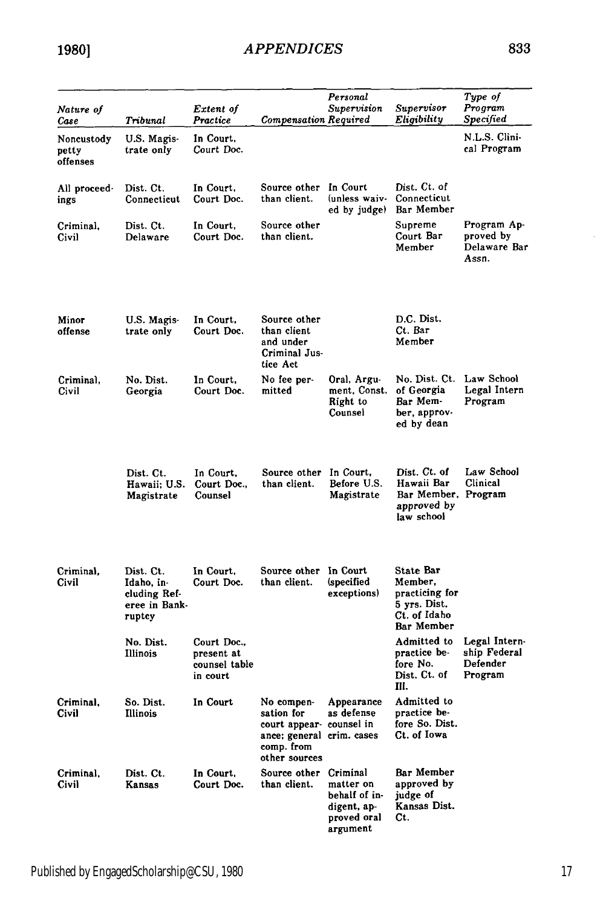| Nature of<br>Case               | Tribunal                                                           | Extent of<br>Practice                                  | <b>Compensation Required</b>                                                                                     | Personal<br>Supervision                                              | Supervisor<br>Eligibility                                                            | Type of<br>Program<br>Specified                      |
|---------------------------------|--------------------------------------------------------------------|--------------------------------------------------------|------------------------------------------------------------------------------------------------------------------|----------------------------------------------------------------------|--------------------------------------------------------------------------------------|------------------------------------------------------|
| Noncustody<br>petty<br>offenses | U.S. Magis-<br>trate only                                          | In Court,<br>Court Doc.                                |                                                                                                                  |                                                                      |                                                                                      | N.L.S. Clini-<br>cal Program                         |
| All proceed-<br>ings            | Dist. Ct.<br>Connecticut                                           | In Court,<br>Court Doc.                                | Source other<br>than client.                                                                                     | In Court<br>(unless waiv-<br>ed by judge)                            | Dist. Ct. of<br>Connecticut<br>Bar Member                                            |                                                      |
| Criminal,<br>Civil              | Dist. Ct.<br>Delaware                                              | In Court,<br>Court Doc.                                | Source other<br>than client.                                                                                     |                                                                      | Supreme<br>Court Bar<br>Member                                                       | Program Ap-<br>proved by<br>Delaware Bar<br>Assn.    |
| Minor<br>offense                | U.S. Magis-<br>trate only                                          | In Court,<br>Court Doc.                                | Source other<br>than client<br>and under<br>Criminal Jus-<br>tice Act                                            |                                                                      | D.C. Dist.<br>Ct. Bar<br>Member                                                      |                                                      |
| Criminal,<br>Civil              | No. Dist.<br>Georgia                                               | In Court,<br>Court Doc.                                | No fee per-<br>mitted                                                                                            | Oral, Argu-<br>ment, Const.<br>Right to<br>Counsel                   | No. Dist. Ct.<br>of Georgia<br>Bar Mem-<br>ber, approv-<br>ed by dean                | Law School<br>Legal Intern<br>Program                |
|                                 | Dist. Ct.<br>Hawaii; U.S.<br>Magistrate                            | In Court.<br>Court Doc.,<br>Counsel                    | Source other In Court,<br>than client.                                                                           | Before U.S.<br>Magistrate                                            | Dist. Ct. of<br>Hawaii Bar<br>Bar Member, Program<br>approved by<br>law school       | Law School<br>Clinical                               |
| Criminal.<br>Civil              | Dist. Ct.<br>Idaho, in-<br>cluding Ref-<br>eree in Bank-<br>ruptcy | In Court,<br>Court Doc.                                | Source other In Court<br>than client.                                                                            | (specified<br>exceptions)                                            | State Bar<br>Member,<br>practicing for<br>5 yrs. Dist.<br>Ct. of Idaho<br>Bar Member |                                                      |
|                                 | No. Dist.<br>Illinois                                              | Court Doc.,<br>present at<br>counsel table<br>in court |                                                                                                                  |                                                                      | Admitted to<br>practice be-<br>fore No.<br>Dist. Ct. of<br>III.                      | Legal Intern-<br>ship Federal<br>Defender<br>Program |
| Criminal.<br>Civil              | So. Dist.<br>Illinois                                              | In Court                                               | No compen-<br>sation for<br>court appear- counsel in<br>ance; general crim. cases<br>comp. from<br>other sources | Appearance<br>as defense                                             | Admitted to<br>practice be-<br>fore So. Dist.<br>Ct. of Iowa                         |                                                      |
| Criminal,<br>Civil              | Dist. Ct.<br>Kansas                                                | In Court,<br>Court Doc.                                | Source other Criminal<br>than client.                                                                            | matter on<br>behalf of in-<br>digent, ap-<br>proved oral<br>argument | Bar Member<br>approved by<br>judge of<br>Kansas Dist.<br>Ct.                         |                                                      |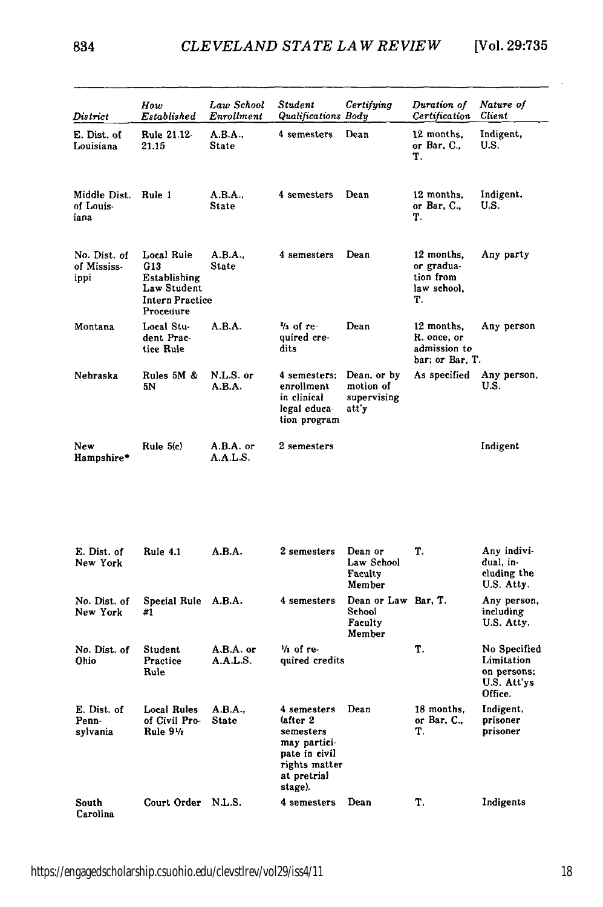| District                            | How<br>Established                                                                      | Law School<br>Enrollment | Student<br>Qualifications Body                                                                                    | Certifying                                         | Duration of<br>Certification                                 | Nature of<br>Client                                                 |
|-------------------------------------|-----------------------------------------------------------------------------------------|--------------------------|-------------------------------------------------------------------------------------------------------------------|----------------------------------------------------|--------------------------------------------------------------|---------------------------------------------------------------------|
| E. Dist. of<br>Louisiana            | Rule 21.12-<br>21.15                                                                    | A.B.A<br>State           | 4 semesters                                                                                                       | Dean                                               | 12 months,<br>or Bar, $C_{n}$<br>т.                          | Indigent,<br>U.S.                                                   |
| Middle Dist.<br>of Louis-<br>iana   | Rule 1                                                                                  | A.B.A.,<br><b>State</b>  | 4 semesters                                                                                                       | Dean                                               | 12 months,<br>or Bar, C.,<br>Т.                              | Indigent,<br>U.S.                                                   |
| No. Dist. of<br>of Mississ-<br>ippi | Local Rule<br>G13<br>Establishing<br>Law Student<br><b>Intern Practice</b><br>Procedure | A.B.A.,<br><b>State</b>  | 4 semesters                                                                                                       | Dean                                               | 12 months,<br>or gradua-<br>tion from<br>law school.<br>т.   | Any party                                                           |
| Montana                             | Local Stu-<br>dent Prac-<br>tice Rule                                                   | A.B.A.                   | $\frac{2}{3}$ of re-<br>quired cre-<br>dits                                                                       | Dean                                               | 12 months,<br>R. once, or<br>admission to<br>bar; or Bar, T. | Any person                                                          |
| Nebraska                            | Rules 5M &<br>5Ν                                                                        | N.L.S. or<br>A.B.A.      | 4 semesters;<br>enrollment<br>in clinical<br>legal educa-<br>tion program                                         | Dean, or by<br>motion of<br>supervising<br>att'y   | As specified                                                 | Any person,<br>U.S.                                                 |
| New<br>Hampshire*                   | Rule $5(c)$                                                                             | A.B.A. or<br>A.A.L.S.    | 2 semesters                                                                                                       |                                                    |                                                              | Indigent                                                            |
| E. Dist. of<br>New York             | Rule 4.1                                                                                | A.B.A.                   | 2 semesters                                                                                                       | Dean or<br>Law School                              | Т.                                                           | Any indivi-<br>dual, in-                                            |
|                                     |                                                                                         |                          |                                                                                                                   | Faculty<br>Member                                  |                                                              | cluding the<br>U.S. Atty.                                           |
| No. Dist. of<br>New York            | Special Rule<br>#1                                                                      | A.B.A.                   | 4 semesters                                                                                                       | Dean or Law Bar, T.<br>School<br>Faculty<br>Member |                                                              | Any person,<br>including<br>U.S. Atty.                              |
| No. Dist. of<br>Ohio                | Student<br>Practice<br>Rule                                                             | A.B.A. or<br>A.A.L.S.    | $\frac{1}{2}$ of re-<br>quired credits                                                                            |                                                    | T.                                                           | No Specified<br>Limitation<br>on persons;<br>U.S. Att'ys<br>Office. |
| E. Dist. of<br>Penn-<br>sylvania    | <b>Local Rules</b><br>of Civil Pro-<br>Rule 91/2                                        | A.B.A<br><b>State</b>    | 4 semesters<br>(after 2)<br>semesters<br>may partici-<br>pate in civil<br>rights matter<br>at pretrial<br>stage). | Dean                                               | 18 months.<br>or Bar, C.,<br>Т.                              | Indigent,<br>prisoner<br>prisoner                                   |
| South<br>Carolina                   | Court Order N.L.S.                                                                      |                          | 4 semesters                                                                                                       | Dean                                               | T.                                                           | Indigents                                                           |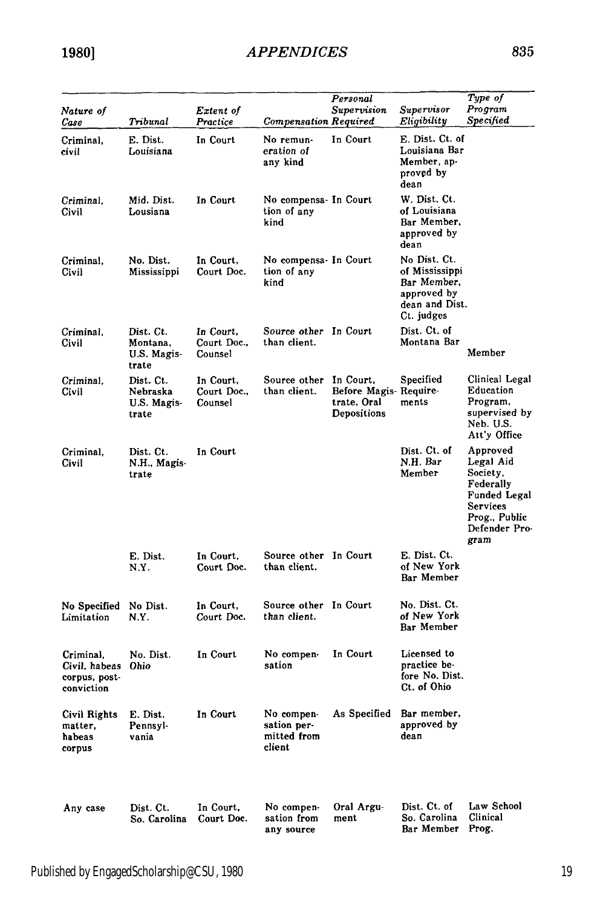| Nature of                                                 |                                               | Extent of                           |                                                    | Personal<br>Supervision                             | Supervisor                                                                                   | Type of<br>Program                                                                                                   |
|-----------------------------------------------------------|-----------------------------------------------|-------------------------------------|----------------------------------------------------|-----------------------------------------------------|----------------------------------------------------------------------------------------------|----------------------------------------------------------------------------------------------------------------------|
| Case                                                      | Tribunal                                      | Practice                            | Compensation Required                              |                                                     | Eligibility                                                                                  | Specified                                                                                                            |
| Criminal.<br>civil                                        | E. Dist.<br>Louisiana                         | In Court                            | No remun-<br>eration of<br>any kind                | In Court                                            | E. Dist. Ct. of<br>Louisiana Bar<br>Member, ap-<br>proved by<br>dean                         |                                                                                                                      |
| Criminal,<br>Civil                                        | Mid. Dist.<br>Lousiana                        | In Court                            | No compensa- In Court<br>tion of any<br>kind       |                                                     | W. Dist. Ct.<br>of Louisiana<br>Bar Member,<br>approved by<br>dean                           |                                                                                                                      |
| Criminal,<br>Civil                                        | No. Dist.<br>Mississippi                      | In Court,<br>Court Doc.             | No compensa- In Court<br>tion of any<br>kind       |                                                     | No Dist. Ct.<br>of Mississippi<br>Bar Member,<br>approved by<br>dean and Dist.<br>Ct. judges |                                                                                                                      |
| Criminal,<br>Civil                                        | Dist. Ct.<br>Montana,<br>U.S. Magis-<br>trate | In Court,<br>Court Doc.,<br>Counsel | Source other In Court<br>than client.              |                                                     | Dist. Ct. of<br>Montana Bar                                                                  | Member                                                                                                               |
| Criminal.<br>Civil                                        | Dist. Ct.<br>Nebraska<br>U.S. Magis-<br>trate | In Court,<br>Court Doc.,<br>Counsel | Source other In Court.<br>than client.             | Before Magis Require-<br>trate. Oral<br>Depositions | Specified<br>ments                                                                           | Clinical Legal<br>Education<br>Program,<br>supervised by<br>Neb. U.S.<br>Att'y Office                                |
| Criminal,<br>Civil                                        | Dist. Ct.<br>N.H., Magis-<br>trate            | In Court                            |                                                    |                                                     | Dist. Ct. of<br>N.H. Bar<br>Member                                                           | Approved<br>Legal Aid<br>Society,<br>Federally<br>Funded Legal<br>Services<br>Prog., Public<br>Defender Pro-<br>gram |
|                                                           | E. Dist.<br>N.Y.                              | In Court,<br>Court Doc.             | Source other In Court<br>than client.              |                                                     | E. Dist. Ct.<br>of New York<br>Bar Member                                                    |                                                                                                                      |
| No Specified No Dist.<br>Limitation                       | N.Y.                                          | In Court,<br>Court Doc.             | Source other In Court<br>than client.              |                                                     | No. Dist. Ct.<br>of New York<br>Bar Member                                                   |                                                                                                                      |
| Criminal.<br>Civil, habeas<br>corpus, post-<br>conviction | No. Dist.<br>Ohio                             | In Court                            | No compen-<br>sation                               | In Court                                            | Licensed to<br>practice be-<br>fore No. Dist.<br>Ct. of Ohio                                 |                                                                                                                      |
| Civil Rights E. Dist.<br>matter,<br>habeas<br>corpus      | Pennsyl-<br>vania                             | In Court                            | No compen-<br>sation per-<br>mitted from<br>client | As Specified Bar member,                            | approved by<br>dean                                                                          |                                                                                                                      |
| Any case                                                  | Dist. Ct.<br>So. Carolina                     | In Court,<br>Court Doc.             | No compen-<br>sation from<br>any source            | Oral Argu-<br>ment                                  | Dist. Ct. of<br>So. Carolina<br>Bar Member                                                   | Law School<br>Clinical<br>Prog.                                                                                      |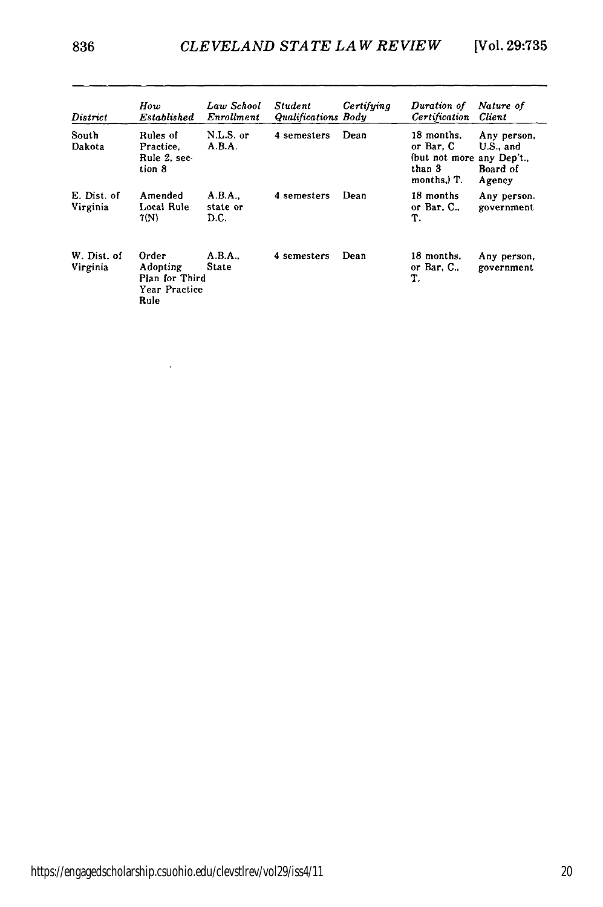| District                | How<br>Established                                           | Law School<br>Enrollment  | <b>Student</b><br>Qualifications Body | Certifying | Duration of<br>Certification                                                  | Nature of<br>Client                            |
|-------------------------|--------------------------------------------------------------|---------------------------|---------------------------------------|------------|-------------------------------------------------------------------------------|------------------------------------------------|
| South<br>Dakota         | Rules of<br>Practice.<br>Rule 2. sec-<br>tion 8              | N.L.S. or<br>A.B.A.       | 4 semesters                           | Dean       | 18 months.<br>or Bar. C<br>(but not more any Dep't.,<br>than 3<br>months.) T. | Any person,<br>U.S., and<br>Board of<br>Agency |
| E. Dist. of<br>Virginia | Amended<br>Local Rule<br>7(N)                                | A.B.A<br>state or<br>D.C. | 4 semesters                           | Dean       | 18 months<br>or Bar, $C_{\cdot}$ ,<br>T.                                      | Any person.<br>government                      |
| W. Dist. of<br>Virginia | Order<br>Adopting<br>Plan for Third<br>Year Practice<br>Rule | A.B.A.,<br><b>State</b>   | 4 semesters                           | Dean       | 18 months.<br>or Bar, C.,<br>T.                                               | Any person,<br>government                      |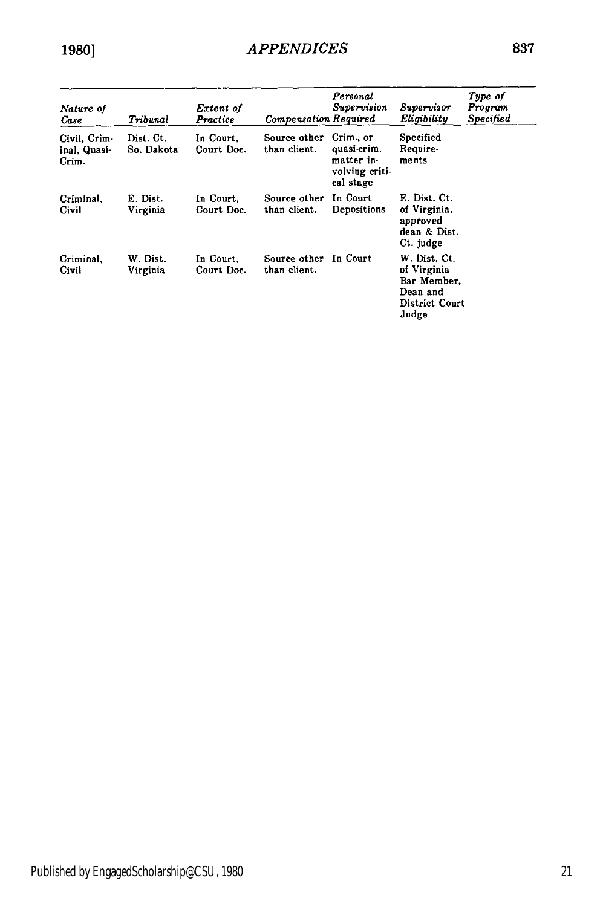| Nature of<br>Case                     | Tribunal                | Extent of<br>Practice   | <b>Compensation Required</b> | Personal<br>Supervision                                               | Supervisor<br>Eligibility                                                         | Type of<br>Program<br>Specified |
|---------------------------------------|-------------------------|-------------------------|------------------------------|-----------------------------------------------------------------------|-----------------------------------------------------------------------------------|---------------------------------|
| Civil, Crim-<br>inal, Quasi-<br>Crim. | Dist. Ct.<br>So. Dakota | In Court.<br>Court Doc. | Source other<br>than client. | Crim., or<br>quasi-crim.<br>matter in-<br>volving criti-<br>cal stage | Specified<br>Require-<br>ments                                                    |                                 |
| Criminal.<br>Civil                    | E. Dist.<br>Virginia    | In Court.<br>Court Doc. | Source other<br>than client. | In Court<br>Depositions                                               | E. Dist. Ct.<br>of Virginia,<br>approved<br>dean & Dist.<br>Ct. judge             |                                 |
| Criminal.<br>Civil                    | W. Dist.<br>Virginia    | In Court.<br>Court Doc. | Source other<br>than client. | In Court                                                              | W. Dist. Ct.<br>of Virginia<br>Bar Member.<br>Dean and<br>District Court<br>Judge |                                 |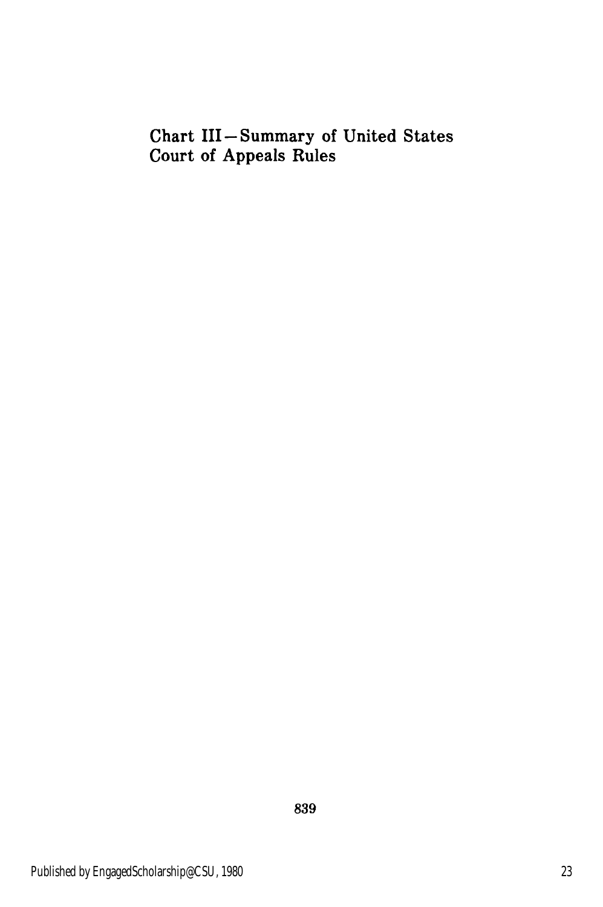## Chart III-Summary of United States Court of Appeals Rules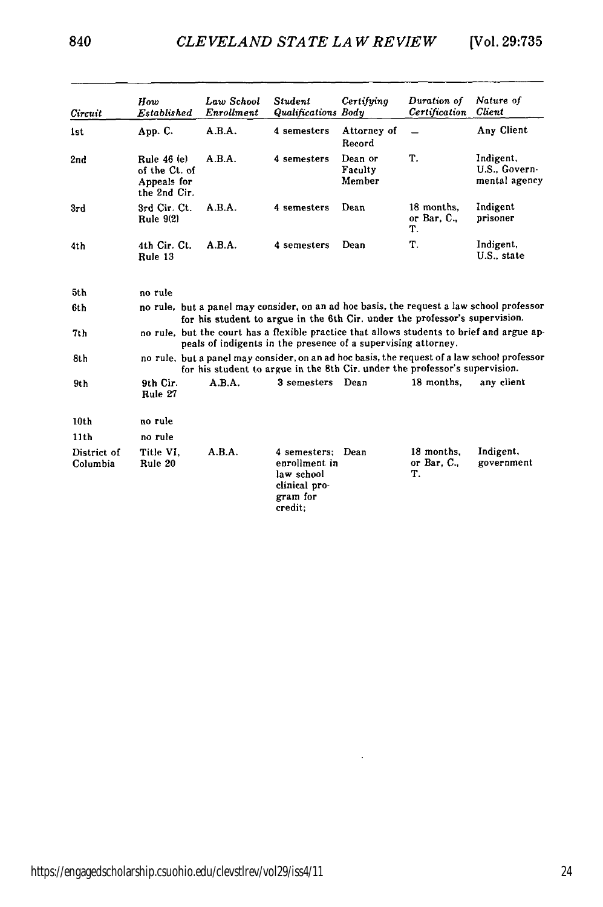| Circuit                 | How<br>Established                                          | Law School<br>Enrollment | Student<br><b>Qualifications Body</b>                                               | Certifying                   | Duration of<br>Certification              | Nature of<br>Client                                                                          |
|-------------------------|-------------------------------------------------------------|--------------------------|-------------------------------------------------------------------------------------|------------------------------|-------------------------------------------|----------------------------------------------------------------------------------------------|
| 1st                     | App. C.                                                     | A.B.A.                   | 4 semesters                                                                         | Attorney of<br>Record        |                                           | Any Client                                                                                   |
| 2nd                     | Rule 46 (e)<br>of the Ct. of<br>Appeals for<br>the 2nd Cir. | A.B.A.                   | 4 semesters                                                                         | Dean or<br>Faculty<br>Member | T.                                        | Indigent,<br>U.S., Govern-<br>mental agency                                                  |
| 3rd                     | 3rd Cir. Ct.<br>Rule $9(2)$                                 | A.B.A.                   | 4 semesters                                                                         | Dean                         | 18 months.<br>or Bar, $C_{\cdot}$ ,<br>Т. | Indigent<br>prisoner                                                                         |
| 4th                     | 4th Cir. Ct.<br>Rule 13                                     | A.B.A.                   | 4 semesters                                                                         | Dean                         | Т.                                        | Indigent,<br>U.S., state                                                                     |
| 5th                     | no rule                                                     |                          |                                                                                     |                              |                                           |                                                                                              |
| 6th                     |                                                             |                          | for his student to argue in the 6th Cir. under the professor's supervision.         |                              |                                           | no rule, but a panel may consider, on an ad hoc basis, the request a law school professor    |
| 7th                     |                                                             |                          | peals of indigents in the presence of a supervising attorney.                       |                              |                                           | no rule, but the court has a flexible practice that allows students to brief and argue ap-   |
| 8th                     |                                                             |                          | for his student to argue in the 8th Cir. under the professor's supervision.         |                              |                                           | no rule, but a panel may consider, on an ad hoc basis, the request of a law school professor |
| 9th                     | 9th Cir.<br>Rule 27                                         | A.B.A.                   | 3 semesters Dean                                                                    |                              | 18 months.                                | any client                                                                                   |
| 10 <sub>th</sub>        | no rule                                                     |                          |                                                                                     |                              |                                           |                                                                                              |
| 11 <sub>th</sub>        | no rule                                                     |                          |                                                                                     |                              |                                           |                                                                                              |
| District of<br>Columbia | Title VI.<br>Rule 20                                        | A.B.A.                   | 4 semesters:<br>enrollment in<br>law school<br>clinical pro-<br>gram for<br>credit: | Dean                         | 18 months.<br>or Bar, C.,<br>Т.           | Indigent,<br>government                                                                      |

 $\cdot$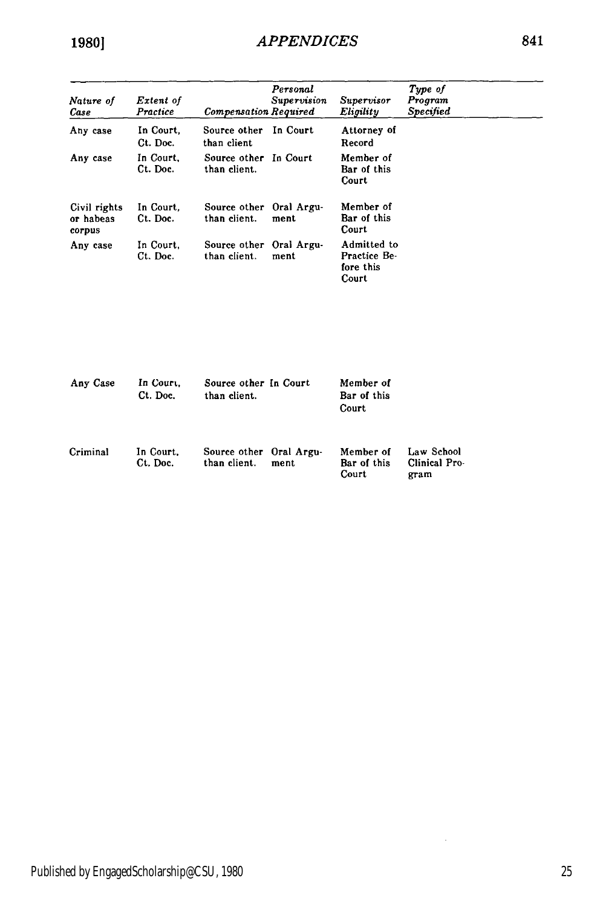| Nature of<br>Case                   | Extent of<br>Practice | <b>Compensation Required</b>            | Personal<br><i><b>Supervision</b></i> | Supervisor<br>Eligility                           | Type of<br>Program<br><b>Specified</b> |
|-------------------------------------|-----------------------|-----------------------------------------|---------------------------------------|---------------------------------------------------|----------------------------------------|
| Any case                            | In Court.<br>Ct. Doc. | Source other<br>than client             | In Court                              | Attorney of<br>Record                             |                                        |
| Any case                            | In Court,<br>Ct. Doc. | Source other In Court<br>than client.   |                                       | Member of<br>Bar of this<br>Court                 |                                        |
| Civil rights<br>or habeas<br>corpus | In Court.<br>Ct. Doc. | Source other Oral Argu-<br>than client. | ment                                  | Member of<br>Bar of this<br>Court                 |                                        |
| Any case                            | In Court.<br>Ct. Doc. | Source other Oral Argu-<br>than client. | ment                                  | Admitted to<br>Practice Be-<br>fore this<br>Court |                                        |

| Any Case | In Court.<br>Ct. Doc. | Source other In Court<br>than client.   |      | Member of<br>Bar of this<br>Court |                                     |
|----------|-----------------------|-----------------------------------------|------|-----------------------------------|-------------------------------------|
| Criminal | In Court.<br>Ct. Doc. | Source other Oral Argu-<br>than client. | ment | Member of<br>Bar of this<br>Court | Law School<br>Clinical Pro-<br>gram |

 $\bar{z}$